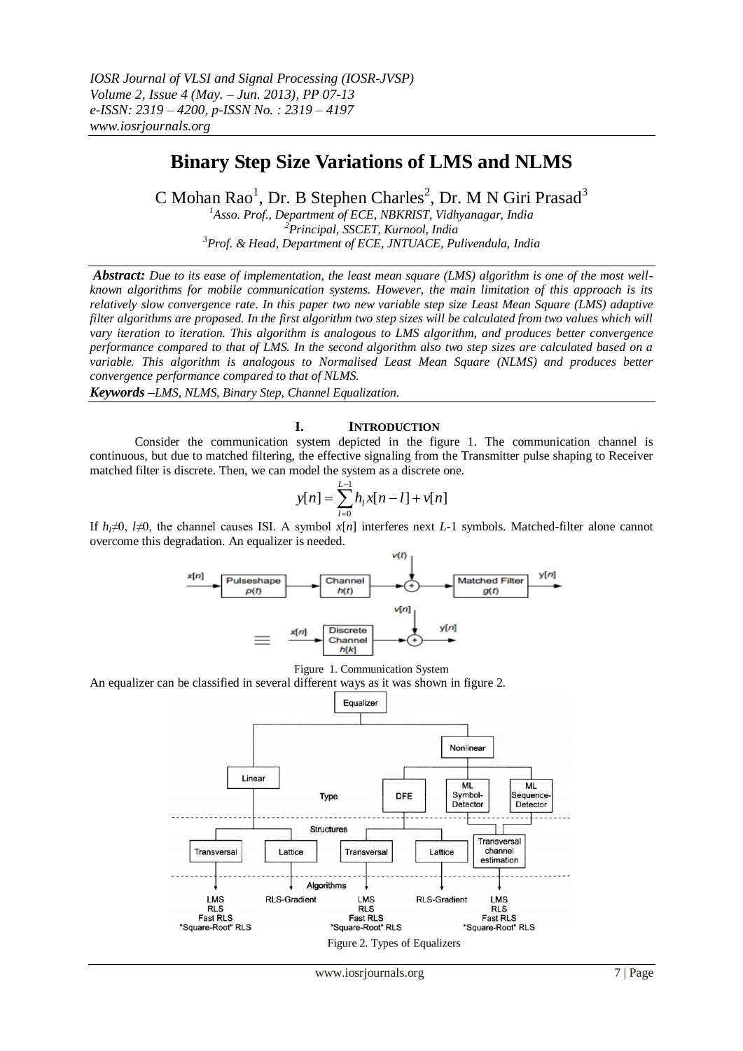# **Binary Step Size Variations of LMS and NLMS**

C Mohan Rao<sup>1</sup>, Dr. B Stephen Charles<sup>2</sup>, Dr. M N Giri Prasad<sup>3</sup>

*<sup>1</sup>Asso. Prof., Department of ECE, NBKRIST, Vidhyanagar, India <sup>2</sup>Principal, SSCET, Kurnool, India <sup>3</sup>Prof. & Head, Department of ECE, JNTUACE, Pulivendula, India*

*Abstract: Due to its ease of implementation, the least mean square (LMS) algorithm is one of the most wellknown algorithms for mobile communication systems. However, the main limitation of this approach is its relatively slow convergence rate. In this paper two new variable step size Least Mean Square (LMS) adaptive filter algorithms are proposed. In the first algorithm two step sizes will be calculated from two values which will vary iteration to iteration. This algorithm is analogous to LMS algorithm, and produces better convergence performance compared to that of LMS. In the second algorithm also two step sizes are calculated based on a variable. This algorithm is analogous to Normalised Least Mean Square (NLMS) and produces better convergence performance compared to that of NLMS.*

*Keywords –LMS, NLMS, Binary Step, Channel Equalization.*

# **I. INTRODUCTION**

Consider the communication system depicted in the figure 1. The communication channel is continuous, but due to matched filtering, the effective signaling from the Transmitter pulse shaping to Receiver matched filter is discrete. Then, we can model the system as a discrete one.

$$
y[n] = \sum_{l=0}^{L-1} h_l x[n-l] + v[n]
$$

If  $h<sub>i</sub>≠0$ ,  $l≠0$ , the channel causes ISI. A symbol  $x[n]$  interferes next *L*-1 symbols. Matched-filter alone cannot overcome this degradation. An equalizer is needed.





An equalizer can be classified in several different ways as it was shown in figure 2.

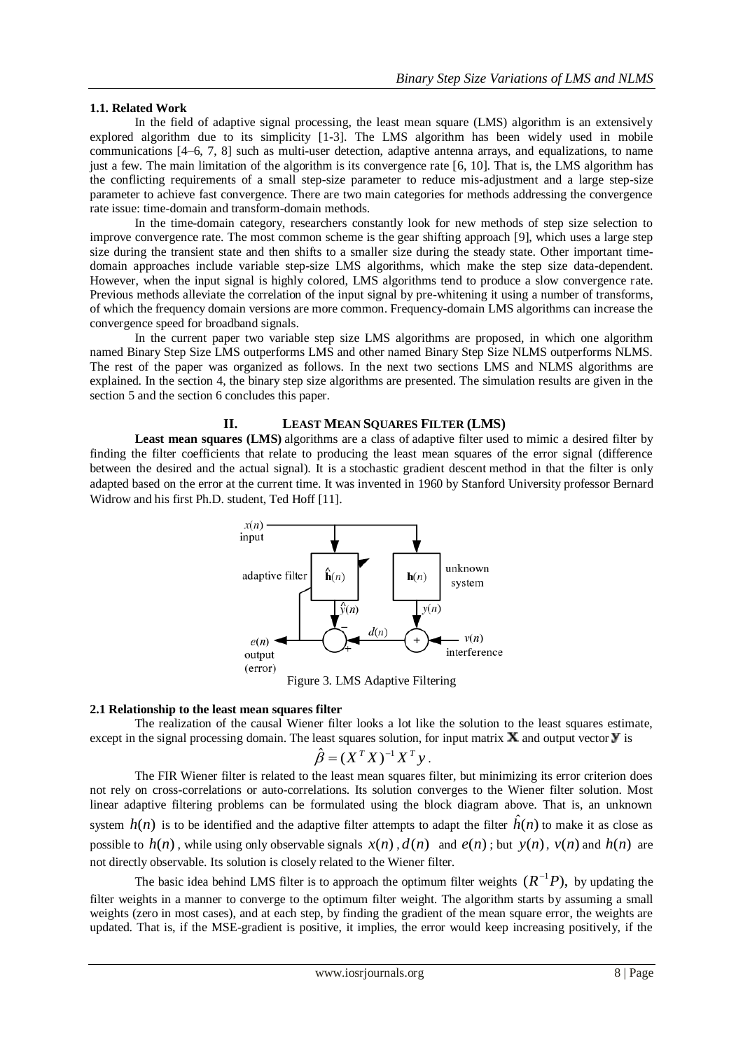# **1.1. Related Work**

In the field of adaptive signal processing, the least mean square (LMS) algorithm is an extensively explored algorithm due to its simplicity [1-3]. The LMS algorithm has been widely used in mobile communications [4–6, 7, 8] such as multi-user detection, adaptive antenna arrays, and equalizations, to name just a few. The main limitation of the algorithm is its convergence rate [6, 10]. That is, the LMS algorithm has the conflicting requirements of a small step-size parameter to reduce mis-adjustment and a large step-size parameter to achieve fast convergence. There are two main categories for methods addressing the convergence rate issue: time-domain and transform-domain methods.

In the time-domain category, researchers constantly look for new methods of step size selection to improve convergence rate. The most common scheme is the gear shifting approach [9], which uses a large step size during the transient state and then shifts to a smaller size during the steady state. Other important timedomain approaches include variable step-size LMS algorithms, which make the step size data-dependent. However, when the input signal is highly colored, LMS algorithms tend to produce a slow convergence rate. Previous methods alleviate the correlation of the input signal by pre-whitening it using a number of transforms, of which the frequency domain versions are more common. Frequency-domain LMS algorithms can increase the convergence speed for broadband signals.

In the current paper two variable step size LMS algorithms are proposed, in which one algorithm named Binary Step Size LMS outperforms LMS and other named Binary Step Size NLMS outperforms NLMS. The rest of the paper was organized as follows. In the next two sections LMS and NLMS algorithms are explained. In the section 4, the binary step size algorithms are presented. The simulation results are given in the section 5 and the section 6 concludes this paper.

# **II. LEAST MEAN SQUARES FILTER (LMS)**

**Least mean squares (LMS)** algorithms are a class of adaptive filter used to mimic a desired filter by finding the filter coefficients that relate to producing the least mean squares of the error signal (difference between the desired and the actual signal). It is a stochastic gradient descent method in that the filter is only adapted based on the error at the current time. It was invented in 1960 by Stanford University professor Bernard Widrow and his first Ph.D. student, Ted Hoff [11].



Figure 3. LMS Adaptive Filtering

## **2.1 Relationship to the least mean squares filter**

The realization of the causal Wiener filter looks a lot like the solution to the least squares estimate, except in the signal processing domain. The least squares solution, for input matrix  $\bf{X}$  and output vector  $\bf{y}$  is

$$
\hat{\beta} = (X^T X)^{-1} X^T y.
$$

The FIR Wiener filter is related to the least mean squares filter, but minimizing its error criterion does not rely on cross-correlations or auto-correlations. Its solution converges to the Wiener filter solution. Most linear adaptive filtering problems can be formulated using the block diagram above. That is, an unknown system  $h(n)$  is to be identified and the adaptive filter attempts to adapt the filter  $\hat{h}(n)$  to make it as close as possible to  $h(n)$ , while using only observable signals  $x(n)$ ,  $d(n)$  and  $e(n)$ ; but  $y(n)$ ,  $v(n)$  and  $h(n)$  are not directly observable. Its solution is closely related to the Wiener filter.

The basic idea behind LMS filter is to approach the optimum filter weights  $(R^{-1}P)$ , by updating the filter weights in a manner to converge to the optimum filter weight. The algorithm starts by assuming a small weights (zero in most cases), and at each step, by finding the gradient of the mean square error, the weights are updated. That is, if the MSE-gradient is positive, it implies, the error would keep increasing positively, if the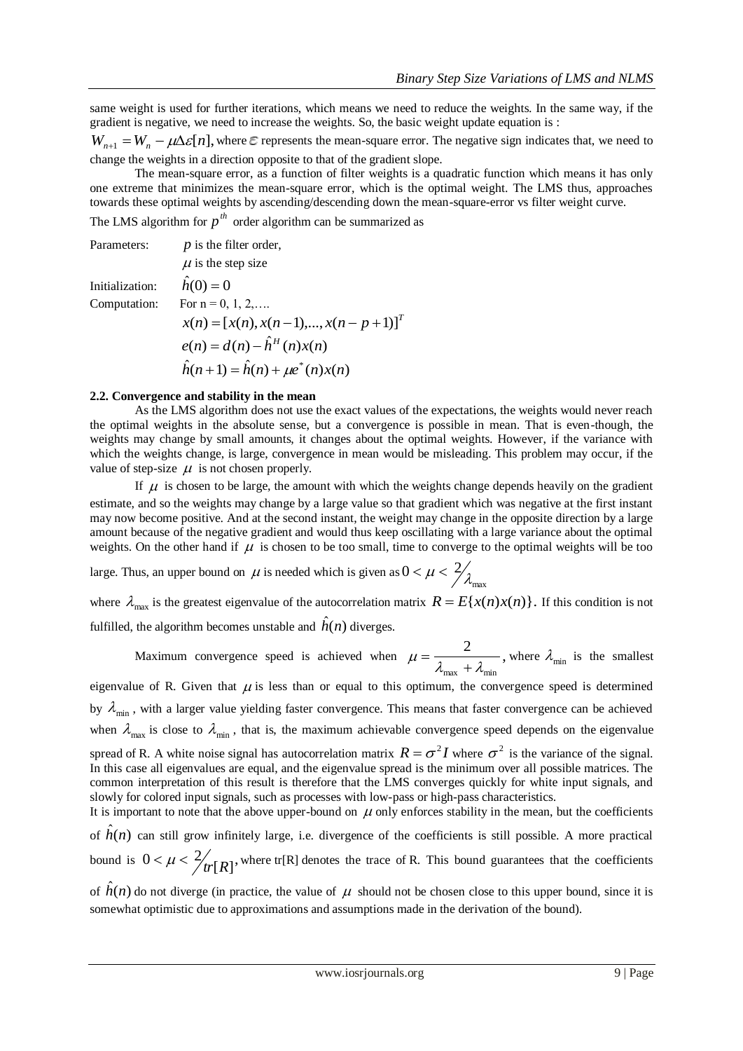same weight is used for further iterations, which means we need to reduce the weights. In the same way, if the gradient is negative, we need to increase the weights. So, the basic weight update equation is :

 $W_{n+1} = W_n - \mu \Delta \varepsilon[n]$ , where  $\varepsilon$  represents the mean-square error. The negative sign indicates that, we need to change the weights in a direction opposite to that of the gradient slope.

The mean-square error, as a function of filter weights is a quadratic function which means it has only one extreme that minimizes the mean-square error, which is the optimal weight. The LMS thus, approaches towards these optimal weights by ascending/descending down the mean-square-error vs filter weight curve.

The LMS algorithm for  $p^{th}$  order algorithm can be summarized as

| Parameters:     | $p$ is the filter order,                       |
|-----------------|------------------------------------------------|
|                 | $\mu$ is the step size                         |
| Initialization: | $\hat{h}(0)=0$                                 |
| Computation:    | For $n = 0, 1, 2, \ldots$                      |
|                 | $x(n) = [x(n), x(n-1),,x(n-p+1)]^T$            |
|                 | $e(n) = d(n) - \hat{h}^{H}(n)x(n)$             |
|                 | $\hat{h}(n+1) = \hat{h}(n) + \mu e^{*}(n)x(n)$ |

#### **2.2. Convergence and stability in the mean**

As the LMS algorithm does not use the exact values of the expectations, the weights would never reach the optimal weights in the absolute sense, but a convergence is possible in mean. That is even-though, the weights may change by small amounts, it changes about the optimal weights. However, if the variance with which the weights change, is large, convergence in mean would be misleading. This problem may occur, if the value of step-size  $\mu$  is not chosen properly.

If  $\mu$  is chosen to be large, the amount with which the weights change depends heavily on the gradient estimate, and so the weights may change by a large value so that gradient which was negative at the first instant may now become positive. And at the second instant, the weight may change in the opposite direction by a large amount because of the negative gradient and would thus keep oscillating with a large variance about the optimal weights. On the other hand if  $\mu$  is chosen to be too small, time to converge to the optimal weights will be too

large. Thus, an upper bound on  $\mu$  is needed which is given as max  $0 < \mu < \frac{2}{\lambda}$ 

where  $\lambda_{\text{max}}$  is the greatest eigenvalue of the autocorrelation matrix  $R = E\{x(n)x(n)\}\.$  If this condition is not fulfilled, the algorithm becomes unstable and  $\hat{h}(n)$  diverges.

Maximum convergence speed is achieved when  $\mu = \frac{2}{\lambda}$ ,  $\mu = \frac{1}{\lambda_{\text{max}} + \lambda_{\text{min}}}$  $=\frac{2}{1-\frac{1}{2}}$ , where  $\lambda_{\min}$  is the smallest

eigenvalue of R. Given that  $\mu$  is less than or equal to this optimum, the convergence speed is determined by  $\lambda_{\min}$ , with a larger value yielding faster convergence. This means that faster convergence can be achieved when  $\lambda_{\text{max}}$  is close to  $\lambda_{\text{min}}$ , that is, the maximum achievable convergence speed depends on the eigenvalue spread of R. A white noise signal has autocorrelation matrix  $R = \sigma^2 I$  where  $\sigma^2$  is the variance of the signal. In this case all eigenvalues are equal, and the eigenvalue spread is the minimum over all possible matrices. The common interpretation of this result is therefore that the LMS converges quickly for white input signals, and slowly for colored input signals, such as processes with low-pass or high-pass characteristics.

It is important to note that the above upper-bound on  $\mu$  only enforces stability in the mean, but the coefficients of  $\hat{h}(n)$  can still grow infinitely large, i.e. divergence of the coefficients is still possible. A more practical bound is  $0 < \mu < \frac{2}{rr}[R]$ ,  $\lt \mu \lt \frac{2}{tr[R]}$ , where tr[R] denotes the trace of R. This bound guarantees that the coefficients

of  $\hat{h}(n)$  do not diverge (in practice, the value of  $\mu$  should not be chosen close to this upper bound, since it is somewhat optimistic due to approximations and assumptions made in the derivation of the bound).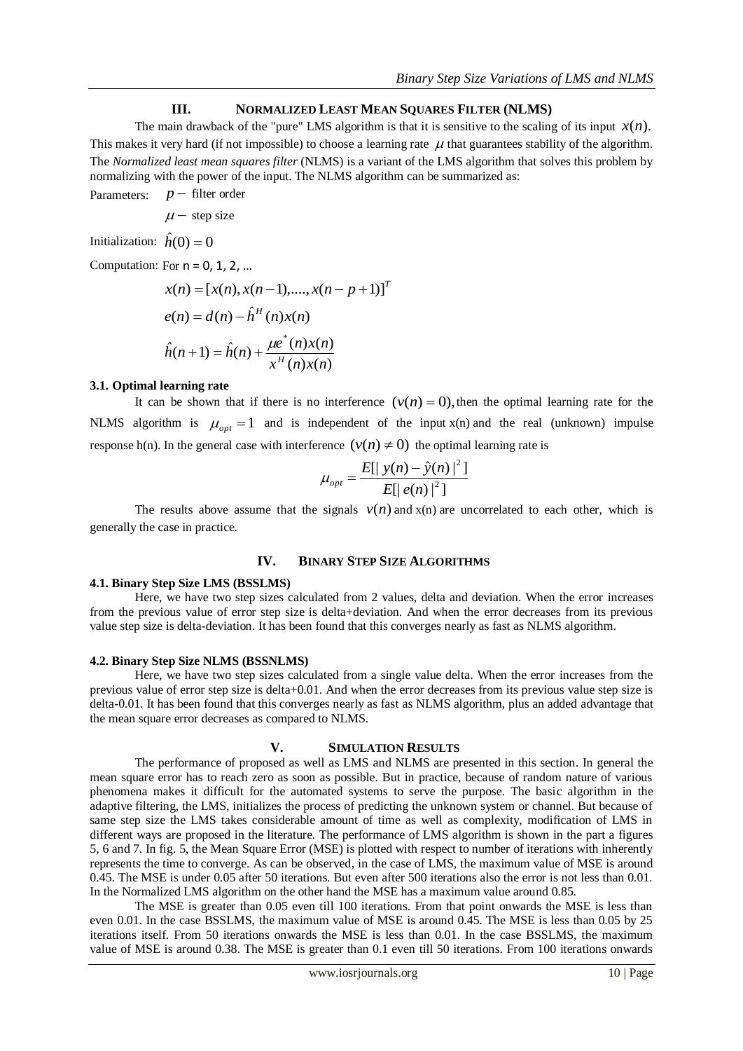## **III. NORMALIZED LEAST MEAN SQUARES FILTER (NLMS)**

The main drawback of the "pure" LMS algorithm is that it is sensitive to the scaling of its input  $x(n)$ . This makes it very hard (if not impossible) to choose a learning rate  $\mu$  that guarantees stability of the algorithm. The *Normalized least mean squares filter* (NLMS) is a variant of the LMS algorithm that solves this problem by normalizing with the power of the input. The NLMS algorithm can be summarized as:

Parameters:  $p$  – filter order

 $\mu$  – step size

Initialization:  $\hat{h}(0) = 0$ 

Computation: For  $n = 0, 1, 2, ...$ 

$$
x(n) = [x(n), x(n-1),...,x(n-p+1)]^{T}
$$
  
\n
$$
e(n) = d(n) - \hat{h}^{H}(n)x(n)
$$
  
\n
$$
\hat{h}(n+1) = \hat{h}(n) + \frac{\mu e^{*}(n)x(n)}{x^{H}(n)x(n)}
$$

#### **3.1. Optimal learning rate**

It can be shown that if there is no interference  $(v(n) = 0)$ , then the optimal learning rate for the NLMS algorithm is  $\mu_{opt} = 1$  and is independent of the input x(n) and the real (unknown) impulse response h(n). In the general case with interference  $(v(n) \neq 0)$  the optimal learning rate is

$$
\mu_{opt} = \frac{E[|y(n) - \hat{y}(n)|^2]}{E[|e(n)|^2]}
$$

The results above assume that the signals  $v(n)$  and  $x(n)$  are uncorrelated to each other, which is generally the case in practice.

## **IV. BINARY STEP SIZE ALGORITHMS**

# **4.1. Binary Step Size LMS (BSSLMS)**

Here, we have two step sizes calculated from 2 values, delta and deviation. When the error increases from the previous value of error step size is delta+deviation. And when the error decreases from its previous value step size is delta-deviation. It has been found that this converges nearly as fast as NLMS algorithm.

#### **4.2. Binary Step Size NLMS (BSSNLMS)**

Here, we have two step sizes calculated from a single value delta. When the error increases from the previous value of error step size is delta+0.01. And when the error decreases from its previous value step size is delta-0.01. It has been found that this converges nearly as fast as NLMS algorithm, plus an added advantage that the mean square error decreases as compared to NLMS.

### **V. SIMULATION RESULTS**

The performance of proposed as well as LMS and NLMS are presented in this section. In general the mean square error has to reach zero as soon as possible. But in practice, because of random nature of various phenomena makes it difficult for the automated systems to serve the purpose. The basic algorithm in the adaptive filtering, the LMS, initializes the process of predicting the unknown system or channel. But because of same step size the LMS takes considerable amount of time as well as complexity, modification of LMS in different ways are proposed in the literature. The performance of LMS algorithm is shown in the part a figures 5, 6 and 7. In fig. 5, the Mean Square Error (MSE) is plotted with respect to number of iterations with inherently represents the time to converge. As can be observed, in the case of LMS, the maximum value of MSE is around 0.45. The MSE is under 0.05 after 50 iterations. But even after 500 iterations also the error is not less than 0.01. In the Normalized LMS algorithm on the other hand the MSE has a maximum value around 0.85.

The MSE is greater than 0.05 even till 100 iterations. From that point onwards the MSE is less than even 0.01. In the case BSSLMS, the maximum value of MSE is around 0.45. The MSE is less than 0.05 by 25 iterations itself. From 50 iterations onwards the MSE is less than 0.01. In the case BSSLMS, the maximum value of MSE is around 0.38. The MSE is greater than 0.1 even till 50 iterations. From 100 iterations onwards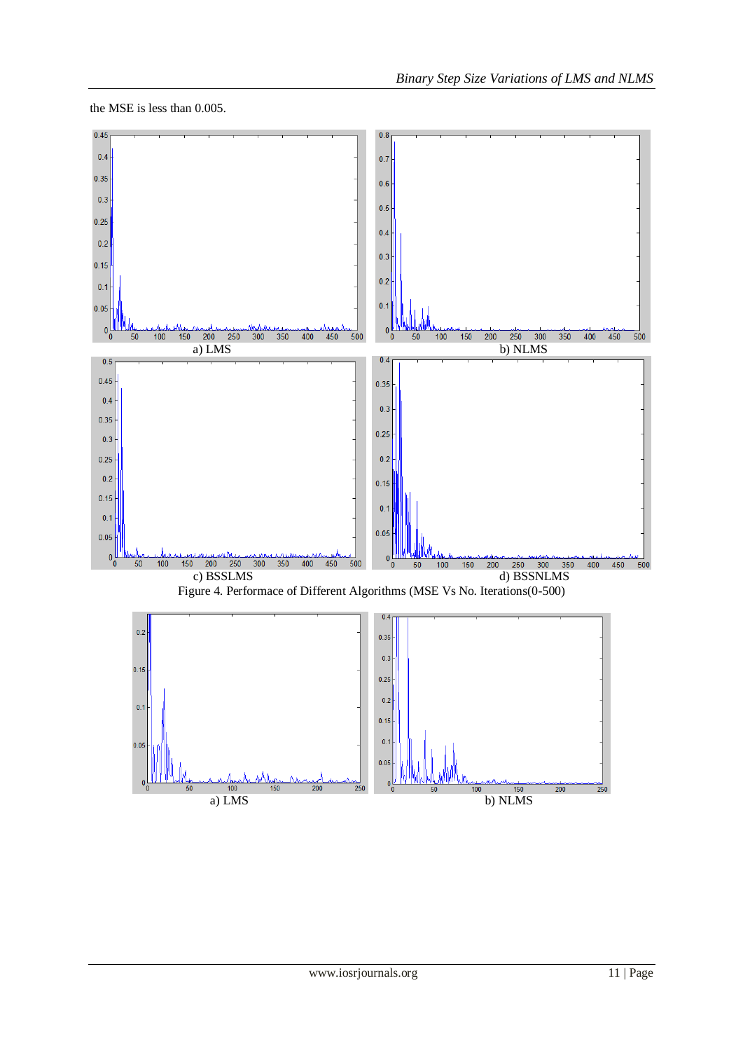the MSE is less than 0.005.

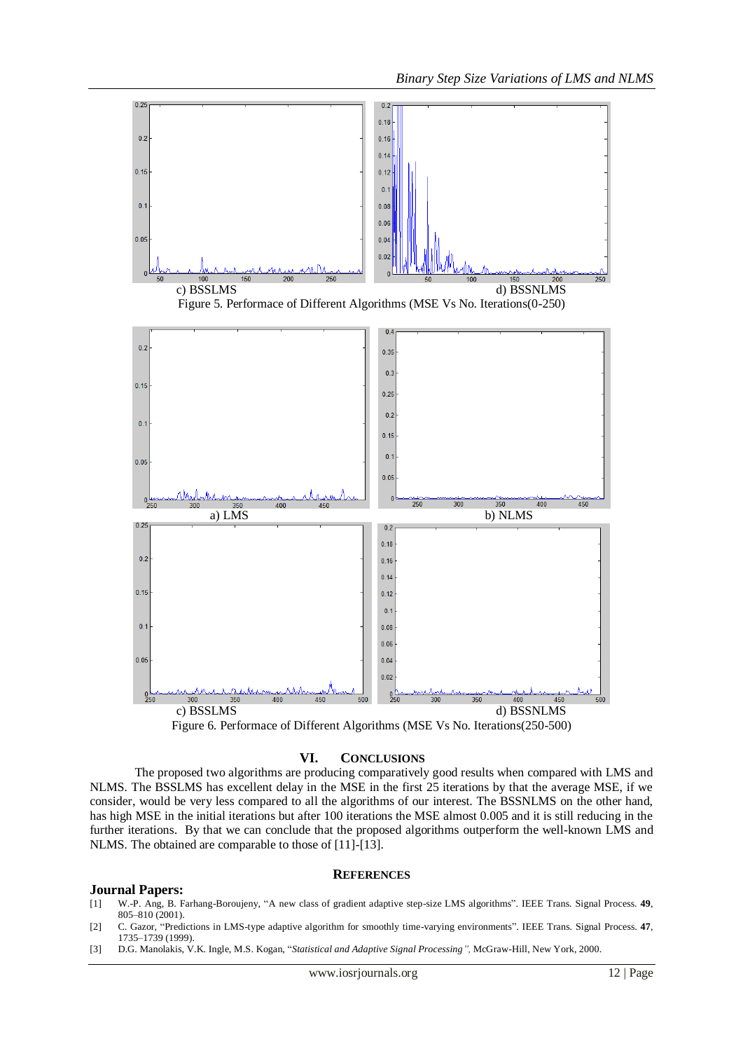

#### **VI. CONCLUSIONS**

The proposed two algorithms are producing comparatively good results when compared with LMS and NLMS. The BSSLMS has excellent delay in the MSE in the first 25 iterations by that the average MSE, if we consider, would be very less compared to all the algorithms of our interest. The BSSNLMS on the other hand, has high MSE in the initial iterations but after 100 iterations the MSE almost 0.005 and it is still reducing in the further iterations. By that we can conclude that the proposed algorithms outperform the well-known LMS and NLMS. The obtained are comparable to those of [11]-[13].

### **REFERENCES**

### **Journal Papers:**

- [1] W.-P. Ang, B. Farhang-Boroujeny, "A new class of gradient adaptive step-size LMS algorithms". IEEE Trans. Signal Process. **49**, 805–810 (2001).
- [2] C. Gazor, "Predictions in LMS-type adaptive algorithm for smoothly time-varying environments". IEEE Trans. Signal Process. **47**, 1735–1739 (1999).
- [3] D.G. Manolakis, V.K. Ingle, M.S. Kogan, "*Statistical and Adaptive Signal Processing",* McGraw-Hill, New York, 2000.